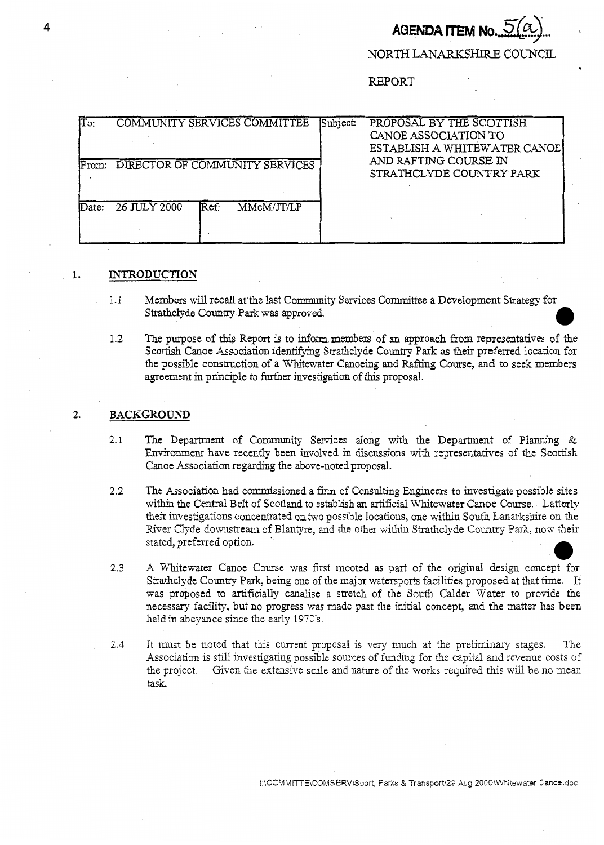# **AGENDA ITEM I**

.

NORTH LANARKSHIRE COUNCIL

REPORT

| $T$ o:<br>From: | COMMUNITY SERVICES COMMITTEE<br>DIRECTOR OF COMMUNITY SERVICES | Subject: | PROPOSAL BY THE SCOTTISH<br>CANOE ASSOCIATION TO<br>ESTABLISH A WHITEWATER CANOE<br>AND RAFTING COURSE IN<br>STRATHCLYDE COUNTRY PARK |
|-----------------|----------------------------------------------------------------|----------|---------------------------------------------------------------------------------------------------------------------------------------|
| Date:           | 26 JULY 2000<br>Ref:<br>MMcM/JT/LP                             |          |                                                                                                                                       |

## **1. INTRODUCTION**

- 1.1 Members will recall at the last Community Services Committee a Development Strategy for Strathclyde Country Park **was** approved. *0*
- 1.2 The purpose of this **Report** is to inform members of an approach from representatives of the Scottish Canoe Association identifying Strathclyde Country Park as their preferred location for the possible construction of a Whitewater Canoeing and **Rafting** Course, and to seek members agreement in principle to further investigation of this proposal.

### **2. BACKGROUND**

- 2.1 The Department of Community Services along with the Department of Planning  $\&$ Environment have recently been involved in discussions with representatives of the Scottish Canoe Association regarding the above-noted proposal.
- **2.2**  The Association had commissioned a firm of Consulting Engineers to investigate possible sites within the Central Belt of Scotland to establish an artificial Whitewater Canoe Course. Latterly their investigations concentrated on two possible locations, one within South Lanarkshire on the River Clyde downstream of Blantyre, and the other within Strathclyde Country Park, now their stated, preferred option.
- *2.3*  **A** Whitewater Canoe Course was first mooted as part of the original design concept for Strathclyde Country **Park,** being one of the major watersports facilities proposed at that time. It was proposed to artificially canalise a stretch of the South Calder Water to provide the necessary facility, but no progress was made past the initial concept, and the matter has been held in abeyance since the early 1970's.
- 2.4 It must be noted that this current proposal is very much at the preliminary stages. The Association is still investigating possible sources of funding for the capital and revenue costs of the project. Given the extensive scale and nature of the works required this will be no mean task.